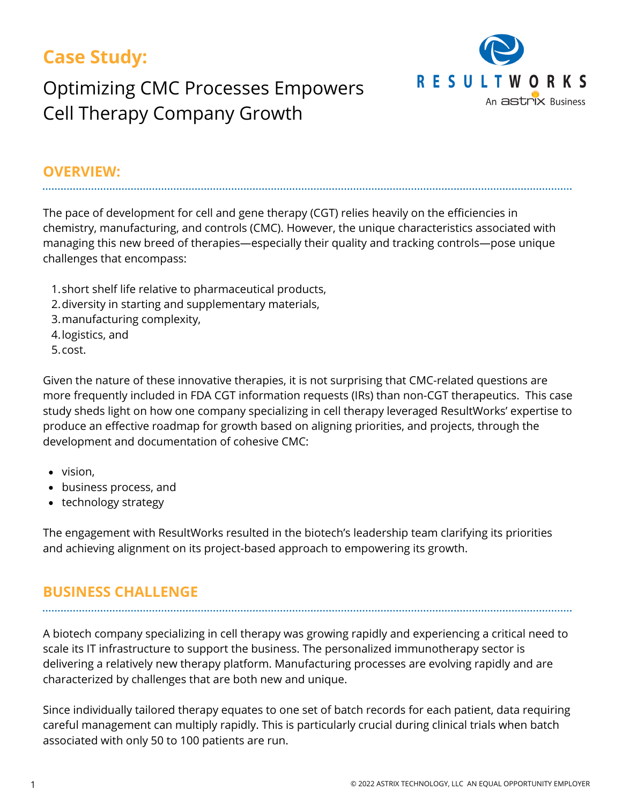## **Case Study:**

# Optimizing CMC Processes Empowers Cell Therapy Company Growth



#### **OVERVIEW:**

The pace of development for cell and gene therapy (CGT) relies heavily on the efficiencies in chemistry, manufacturing, and controls (CMC). However, the unique characteristics associated with managing this new breed of therapies—especially their quality and tracking controls—pose unique challenges that encompass:

- short shelf life relative to pharmaceutical products, 1.
- 2. diversity in starting and supplementary materials,
- 3.manufacturing complexity,
- 4.logistics, and
- 5.cost.

Given the nature of these innovative therapies, it is not surprising that CMC-related questions are more frequently included in FDA CGT information requests (IRs) than non-CGT therapeutics. This case study sheds light on how one company specializing in cell therapy leveraged ResultWorks' expertise to produce an effective roadmap for growth based on aligning priorities, and projects, through the development and documentation of cohesive CMC:

- vision.
- business process, and
- technology strategy

The engagement with ResultWorks resulted in the biotech's leadership team clarifying its priorities and achieving alignment on its project-based approach to empowering its growth.

## **BUSINESS CHALLENGE**

A biotech company specializing in cell therapy was growing rapidly and experiencing a critical need to scale its IT infrastructure to support the business. The personalized immunotherapy sector is delivering a relatively new therapy platform. Manufacturing processes are evolving rapidly and are characterized by challenges that are both new and unique.

Since individually tailored therapy equates to one set of batch records for each patient, data requiring careful management can multiply rapidly. This is particularly crucial during clinical trials when batch associated with only 50 to 100 patients are run.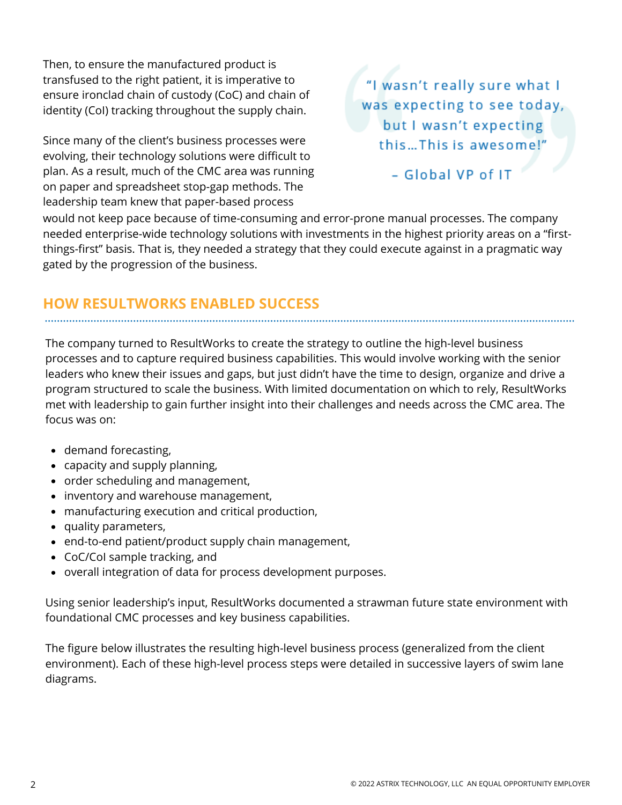Then, to ensure the manufactured product is transfused to the right patient, it is imperative to ensure ironclad chain of custody (CoC) and chain of identity (CoI) tracking throughout the supply chain.

Since many of the client's business processes were evolving, their technology solutions were difficult to plan. As a result, much of the CMC area was running on paper and spreadsheet stop-gap methods. The leadership team knew that paper-based process

"I wasn't really sure what I was expecting to see today, but I wasn't expecting this...This is awesome!"

- Global VP of IT

would not keep pace because of time-consuming and error-prone manual processes. The company needed enterprise-wide technology solutions with investments in the highest priority areas on a "firstthings-first" basis. That is, they needed a strategy that they could execute against in a pragmatic way gated by the progression of the business.

### **HOW RESULTWORKS ENABLED SUCCESS**

The company turned to ResultWorks to create the strategy to outline the high-level business processes and to capture required business capabilities. This would involve working with the senior leaders who knew their issues and gaps, but just didn't have the time to design, organize and drive a program structured to scale the business. With limited documentation on which to rely, ResultWorks met with leadership to gain further insight into their challenges and needs across the CMC area. The focus was on:

- demand forecasting,
- capacity and supply planning,
- order scheduling and management,
- inventory and warehouse management,
- manufacturing execution and critical production,
- quality parameters,
- end-to-end patient/product supply chain management,
- CoC/CoI sample tracking, and
- overall integration of data for process development purposes.

Using senior leadership's input, ResultWorks documented a strawman future state environment with foundational CMC processes and key business capabilities.

The figure below illustrates the resulting high-level business process (generalized from the client environment). Each of these high-level process steps were detailed in successive layers of swim lane diagrams.